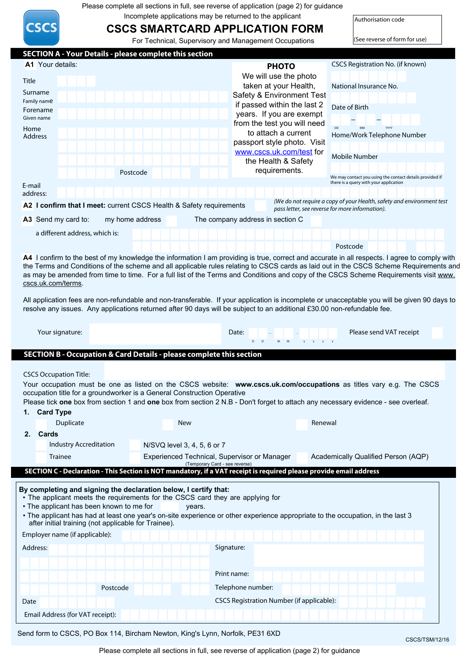Please complete all sections in full, see reverse of application (page 2) for guidance

Incomplete applications may be returned to the applicant

**CSCS** 

# **CSCS SMARTCARD APPLICATION FORM**

Authorisation code

|                                                                                                                                                                                                                                                                                                                                                                                                                                       |                                                                                                                                               | For Technical, Supervisory and Management Occupations   | (See reverse of form for use)                            |  |
|---------------------------------------------------------------------------------------------------------------------------------------------------------------------------------------------------------------------------------------------------------------------------------------------------------------------------------------------------------------------------------------------------------------------------------------|-----------------------------------------------------------------------------------------------------------------------------------------------|---------------------------------------------------------|----------------------------------------------------------|--|
|                                                                                                                                                                                                                                                                                                                                                                                                                                       | <b>SECTION A - Your Details - please complete this section</b>                                                                                |                                                         |                                                          |  |
| A1 Your details:                                                                                                                                                                                                                                                                                                                                                                                                                      |                                                                                                                                               | <b>PHOTO</b>                                            | <b>CSCS Registration No. (if known)</b>                  |  |
| Title                                                                                                                                                                                                                                                                                                                                                                                                                                 |                                                                                                                                               | We will use the photo                                   |                                                          |  |
|                                                                                                                                                                                                                                                                                                                                                                                                                                       |                                                                                                                                               | taken at your Health,                                   | National Insurance No.                                   |  |
| Surname<br>Family name                                                                                                                                                                                                                                                                                                                                                                                                                |                                                                                                                                               | Safety & Environment Test                               |                                                          |  |
| Forename                                                                                                                                                                                                                                                                                                                                                                                                                              |                                                                                                                                               | if passed within the last 2                             | Date of Birth                                            |  |
| Given name                                                                                                                                                                                                                                                                                                                                                                                                                            |                                                                                                                                               | years. If you are exempt<br>from the test you will need |                                                          |  |
| Home                                                                                                                                                                                                                                                                                                                                                                                                                                  |                                                                                                                                               | to attach a current                                     | <b>YYY</b>                                               |  |
| <b>Address</b>                                                                                                                                                                                                                                                                                                                                                                                                                        |                                                                                                                                               | passport style photo. Visit                             | Home/Work Telephone Number                               |  |
|                                                                                                                                                                                                                                                                                                                                                                                                                                       |                                                                                                                                               | www.cscs.uk.com/test for                                | <b>Mobile Number</b>                                     |  |
|                                                                                                                                                                                                                                                                                                                                                                                                                                       |                                                                                                                                               | the Health & Safety                                     |                                                          |  |
|                                                                                                                                                                                                                                                                                                                                                                                                                                       | Postcode                                                                                                                                      | requirements.                                           | We may contact you using the contact details provided if |  |
| E-mail                                                                                                                                                                                                                                                                                                                                                                                                                                |                                                                                                                                               |                                                         | there is a query with your application                   |  |
| address:                                                                                                                                                                                                                                                                                                                                                                                                                              |                                                                                                                                               |                                                         |                                                          |  |
| (We do not require a copy of your Health, safety and environment test<br>A2 I confirm that I meet: current CSCS Health & Safety requirements<br>pass letter, see reverse for more information).                                                                                                                                                                                                                                       |                                                                                                                                               |                                                         |                                                          |  |
| A3 Send my card to:                                                                                                                                                                                                                                                                                                                                                                                                                   | my home address                                                                                                                               | The company address in section C                        |                                                          |  |
|                                                                                                                                                                                                                                                                                                                                                                                                                                       |                                                                                                                                               |                                                         |                                                          |  |
| a different address, which is:                                                                                                                                                                                                                                                                                                                                                                                                        |                                                                                                                                               |                                                         |                                                          |  |
|                                                                                                                                                                                                                                                                                                                                                                                                                                       | A4 I confirm to the best of my knowledge the information I am providing is true, correct and accurate in all respects. I agree to comply with |                                                         | Postcode                                                 |  |
| as may be amended from time to time. For a full list of the Terms and Conditions and copy of the CSCS Scheme Requirements visit www.<br>cscs.uk.com/terms.<br>All application fees are non-refundable and non-transferable. If your application is incomplete or unacceptable you will be given 90 days to<br>resolve any issues. Any applications returned after 90 days will be subject to an additional £30.00 non-refundable fee. |                                                                                                                                               |                                                         |                                                          |  |
| Your signature:                                                                                                                                                                                                                                                                                                                                                                                                                       |                                                                                                                                               | Date:                                                   | Please send VAT receipt                                  |  |
|                                                                                                                                                                                                                                                                                                                                                                                                                                       | SECTION B - Occupation & Card Details - please complete this section                                                                          |                                                         |                                                          |  |
|                                                                                                                                                                                                                                                                                                                                                                                                                                       |                                                                                                                                               |                                                         |                                                          |  |
| <b>CSCS Occupation Title:</b>                                                                                                                                                                                                                                                                                                                                                                                                         |                                                                                                                                               |                                                         |                                                          |  |
|                                                                                                                                                                                                                                                                                                                                                                                                                                       | Your occupation must be one as listed on the CSCS website: www.cscs.uk.com/occupations as titles vary e.g. The CSCS                           |                                                         |                                                          |  |
|                                                                                                                                                                                                                                                                                                                                                                                                                                       | occupation title for a groundworker is a General Construction Operative                                                                       |                                                         |                                                          |  |
|                                                                                                                                                                                                                                                                                                                                                                                                                                       | Please tick one box from section 1 and one box from section 2 N.B - Don't forget to attach any necessary evidence - see overleaf.             |                                                         |                                                          |  |
| <b>Card Type</b><br>1.                                                                                                                                                                                                                                                                                                                                                                                                                |                                                                                                                                               |                                                         |                                                          |  |
| Duplicate                                                                                                                                                                                                                                                                                                                                                                                                                             | New                                                                                                                                           | Renewal                                                 |                                                          |  |
| 2. Cards                                                                                                                                                                                                                                                                                                                                                                                                                              |                                                                                                                                               |                                                         |                                                          |  |
| <b>Industry Accreditation</b>                                                                                                                                                                                                                                                                                                                                                                                                         | N/SVQ level 3, 4, 5, 6 or 7                                                                                                                   |                                                         |                                                          |  |
| <b>Trainee</b>                                                                                                                                                                                                                                                                                                                                                                                                                        | Experienced Technical, Supervisor or Manager<br>(Temporary Card - see reverse)                                                                |                                                         | Academically Qualified Person (AQP)                      |  |
|                                                                                                                                                                                                                                                                                                                                                                                                                                       | SECTION C - Declaration - This Section is NOT mandatory, if a VAT receipt is required please provide email address                            |                                                         |                                                          |  |
| By completing and signing the declaration below, I certify that:<br>• The applicant meets the requirements for the CSCS card they are applying for<br>• The applicant has been known to me for<br>years.<br>• The applicant has had at least one year's on-site experience or other experience appropriate to the occupation, in the last 3<br>after initial training (not applicable for Trainee).                                   |                                                                                                                                               |                                                         |                                                          |  |
| Employer name (if applicable):                                                                                                                                                                                                                                                                                                                                                                                                        |                                                                                                                                               |                                                         |                                                          |  |
| Signature:<br>Address:                                                                                                                                                                                                                                                                                                                                                                                                                |                                                                                                                                               |                                                         |                                                          |  |
|                                                                                                                                                                                                                                                                                                                                                                                                                                       |                                                                                                                                               |                                                         |                                                          |  |
|                                                                                                                                                                                                                                                                                                                                                                                                                                       |                                                                                                                                               | Print name:                                             |                                                          |  |
|                                                                                                                                                                                                                                                                                                                                                                                                                                       | Postcode                                                                                                                                      | Telephone number:                                       |                                                          |  |
| Date                                                                                                                                                                                                                                                                                                                                                                                                                                  |                                                                                                                                               | CSCS Registration Number (if applicable):               |                                                          |  |
| Email Address (for VAT receipt):                                                                                                                                                                                                                                                                                                                                                                                                      |                                                                                                                                               |                                                         |                                                          |  |
|                                                                                                                                                                                                                                                                                                                                                                                                                                       |                                                                                                                                               |                                                         |                                                          |  |

Send form to CSCS, PO Box 114, Bircham Newton, King's Lynn, Norfolk, PE31 6XD